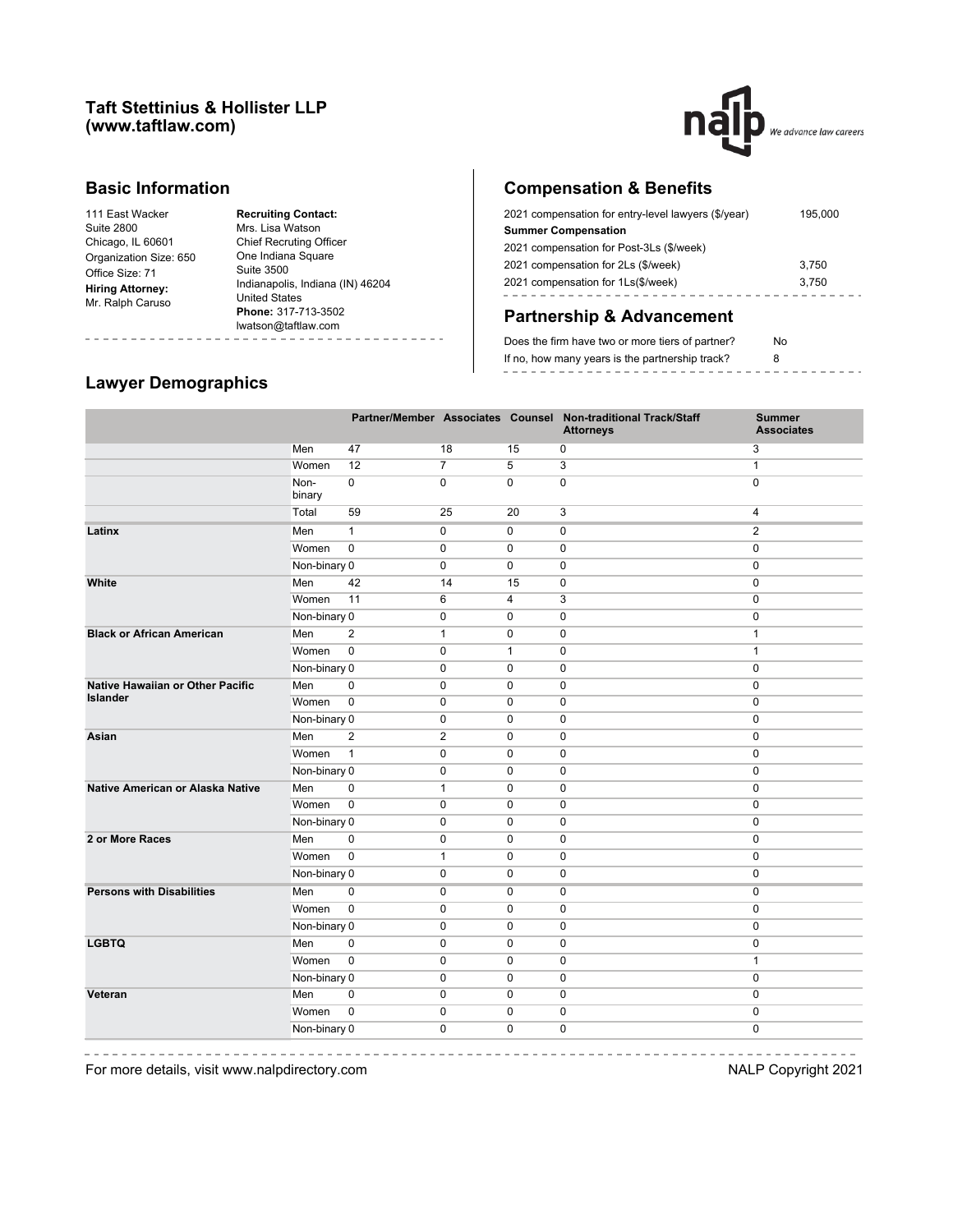#### **Taft Stettinius & Hollister LLP (www.taftlaw.com)**



### **Basic Information**

| <b>Suite 2800</b>       |
|-------------------------|
|                         |
| Chicago, IL 60601       |
| Organization Size: 650  |
| Office Size: 71         |
| <b>Hiring Attorney:</b> |
| Mr. Ralph Caruso        |

**Recruiting Contact:** Mrs. Lisa Watson Chief Recruting Officer One Indiana Square Suite 3500 Indianapolis, Indiana (IN) 46204 United States **Phone:** 317-713-3502 lwatson@taftlaw.com 

# **Compensation & Benefits**

| 2021 compensation for entry-level lawyers (\$/year) | 195,000 |
|-----------------------------------------------------|---------|
| <b>Summer Compensation</b>                          |         |
| 2021 compensation for Post-3Ls (\$/week)            |         |
| 2021 compensation for 2Ls (\$/week)                 | 3.750   |
| 2021 compensation for 1Ls(\$/week)                  | 3.750   |
|                                                     |         |

# **Partnership & Advancement**

| Does the firm have two or more tiers of partner? | No |
|--------------------------------------------------|----|
| If no, how many years is the partnership track?  |    |
|                                                  |    |

#### **Lawyer Demographics**

-----------

L,

| Men<br>47<br>18<br>15<br>0<br>3<br>$\overline{5}$<br>12<br>$\overline{7}$<br>3<br>Women<br>$\mathbf{1}$<br>$\mathbf 0$<br>$\mathbf 0$<br>Non-<br>$\mathbf 0$<br>$\mathbf 0$<br>$\mathbf 0$<br>binary<br>59<br>25<br>3<br>$\overline{\mathbf{4}}$<br>Total<br>20<br>$\mathbf{1}$<br>$\overline{2}$<br>Men<br>0<br>$\mathbf 0$<br>$\mathbf 0$<br>$\mathbf 0$<br>Women<br>0<br>$\mathbf 0$<br>$\mathbf 0$<br>$\mathbf 0$<br>Non-binary 0<br>0<br>$\mathbf 0$<br>$\mathbf 0$<br>0<br>42<br>Men<br>14<br>$\mathbf 0$<br>0<br>15<br>11<br>3<br>Women<br>6<br>4<br>0<br>Non-binary 0<br>$\mathbf 0$<br>$\pmb{0}$<br>0<br>$\mathbf 0$<br><b>Black or African American</b><br>$\overline{\mathbf{c}}$<br>Men<br>$\mathbf{1}$<br>$\mathbf 0$<br>$\mathbf 0$<br>$\mathbf{1}$<br>$\pmb{0}$<br>Women<br>0<br>$\mathbf{1}$<br>0<br>$\mathbf{1}$<br>Non-binary 0<br>0<br>$\mathbf 0$<br>$\mathbf 0$<br>$\mathbf 0$<br><b>Native Hawaiian or Other Pacific</b><br>Men<br>0<br>0<br>$\mathbf 0$<br>$\mathbf 0$<br>$\mathbf{0}$<br><b>Islander</b><br>$\mathbf 0$<br>$\mathbf 0$<br>Women<br>0<br>$\mathbf 0$<br>0<br>0<br>$\mathbf 0$<br>$\mathbf 0$<br>Non-binary 0<br>$\mathbf 0$<br>$\overline{2}$<br>$\overline{2}$<br>$\pmb{0}$<br>$\pmb{0}$<br>$\pmb{0}$<br>Men<br>Asian<br>$\overline{1}$<br>$\pmb{0}$<br>$\pmb{0}$<br>Women<br>0<br>0<br>Non-binary 0<br>$\pmb{0}$<br>0<br>$\pmb{0}$<br>0<br>$\pmb{0}$<br>$\pmb{0}$<br>0<br>$\pmb{0}$<br>Native American or Alaska Native<br>Men<br>$\mathbf{1}$<br>$\pmb{0}$<br>$\mathbf 0$<br>0<br>$\pmb{0}$<br>Women<br>0<br>Non-binary 0<br>$\mathbf 0$<br>0<br>0<br>0<br>Men<br>0<br>$\mathbf 0$<br>0<br>0<br>0<br>$\pmb{0}$<br>Women<br>$\mathbf{1}$<br>$\mathbf 0$<br>0<br>$\mathbf 0$<br>Non-binary 0<br>0<br>$\mathbf 0$<br>0<br>$\mathbf 0$<br>Men<br>$\mathbf 0$<br>0<br>$\mathbf 0$<br>0<br>0<br>$\mathbf 0$<br>Women<br>$\mathbf 0$<br>$\mathbf 0$<br>0<br>0<br>Non-binary 0<br>$\mathbf 0$<br>$\mathbf 0$<br>0<br>0<br>Men<br>$\mathbf 0$<br>$\mathbf 0$<br>$\mathbf 0$<br>0<br>$\mathbf 0$<br>$\pmb{0}$<br>Women<br>$\mathbf 0$<br>0<br>$\mathbf{1}$<br>0<br>Non-binary 0<br>0<br>$\mathbf 0$<br>$\mathbf 0$<br>0<br>Veteran<br>Men<br>0<br>0<br>$\mathbf 0$<br>$\mathbf 0$<br>0<br>$\mathbf 0$<br>Women<br>0<br>$\mathbf 0$<br>0<br>0<br>Non-binary 0<br>0<br>$\pmb{0}$<br>$\Omega$<br>$\mathbf 0$ |                                  |  |  | Partner/Member Associates Counsel Non-traditional Track/Staff<br><b>Attorneys</b> | <b>Summer</b><br><b>Associates</b> |
|-------------------------------------------------------------------------------------------------------------------------------------------------------------------------------------------------------------------------------------------------------------------------------------------------------------------------------------------------------------------------------------------------------------------------------------------------------------------------------------------------------------------------------------------------------------------------------------------------------------------------------------------------------------------------------------------------------------------------------------------------------------------------------------------------------------------------------------------------------------------------------------------------------------------------------------------------------------------------------------------------------------------------------------------------------------------------------------------------------------------------------------------------------------------------------------------------------------------------------------------------------------------------------------------------------------------------------------------------------------------------------------------------------------------------------------------------------------------------------------------------------------------------------------------------------------------------------------------------------------------------------------------------------------------------------------------------------------------------------------------------------------------------------------------------------------------------------------------------------------------------------------------------------------------------------------------------------------------------------------------------------------------------------------------------------------------------------------------------------------------------------------------------------------------------------------------------------------------------------------------------------------------------------------------------------------------------------------------|----------------------------------|--|--|-----------------------------------------------------------------------------------|------------------------------------|
|                                                                                                                                                                                                                                                                                                                                                                                                                                                                                                                                                                                                                                                                                                                                                                                                                                                                                                                                                                                                                                                                                                                                                                                                                                                                                                                                                                                                                                                                                                                                                                                                                                                                                                                                                                                                                                                                                                                                                                                                                                                                                                                                                                                                                                                                                                                                           |                                  |  |  |                                                                                   |                                    |
|                                                                                                                                                                                                                                                                                                                                                                                                                                                                                                                                                                                                                                                                                                                                                                                                                                                                                                                                                                                                                                                                                                                                                                                                                                                                                                                                                                                                                                                                                                                                                                                                                                                                                                                                                                                                                                                                                                                                                                                                                                                                                                                                                                                                                                                                                                                                           |                                  |  |  |                                                                                   |                                    |
|                                                                                                                                                                                                                                                                                                                                                                                                                                                                                                                                                                                                                                                                                                                                                                                                                                                                                                                                                                                                                                                                                                                                                                                                                                                                                                                                                                                                                                                                                                                                                                                                                                                                                                                                                                                                                                                                                                                                                                                                                                                                                                                                                                                                                                                                                                                                           |                                  |  |  |                                                                                   |                                    |
|                                                                                                                                                                                                                                                                                                                                                                                                                                                                                                                                                                                                                                                                                                                                                                                                                                                                                                                                                                                                                                                                                                                                                                                                                                                                                                                                                                                                                                                                                                                                                                                                                                                                                                                                                                                                                                                                                                                                                                                                                                                                                                                                                                                                                                                                                                                                           |                                  |  |  |                                                                                   |                                    |
|                                                                                                                                                                                                                                                                                                                                                                                                                                                                                                                                                                                                                                                                                                                                                                                                                                                                                                                                                                                                                                                                                                                                                                                                                                                                                                                                                                                                                                                                                                                                                                                                                                                                                                                                                                                                                                                                                                                                                                                                                                                                                                                                                                                                                                                                                                                                           | Latinx                           |  |  |                                                                                   |                                    |
|                                                                                                                                                                                                                                                                                                                                                                                                                                                                                                                                                                                                                                                                                                                                                                                                                                                                                                                                                                                                                                                                                                                                                                                                                                                                                                                                                                                                                                                                                                                                                                                                                                                                                                                                                                                                                                                                                                                                                                                                                                                                                                                                                                                                                                                                                                                                           |                                  |  |  |                                                                                   |                                    |
|                                                                                                                                                                                                                                                                                                                                                                                                                                                                                                                                                                                                                                                                                                                                                                                                                                                                                                                                                                                                                                                                                                                                                                                                                                                                                                                                                                                                                                                                                                                                                                                                                                                                                                                                                                                                                                                                                                                                                                                                                                                                                                                                                                                                                                                                                                                                           |                                  |  |  |                                                                                   |                                    |
|                                                                                                                                                                                                                                                                                                                                                                                                                                                                                                                                                                                                                                                                                                                                                                                                                                                                                                                                                                                                                                                                                                                                                                                                                                                                                                                                                                                                                                                                                                                                                                                                                                                                                                                                                                                                                                                                                                                                                                                                                                                                                                                                                                                                                                                                                                                                           | White                            |  |  |                                                                                   |                                    |
|                                                                                                                                                                                                                                                                                                                                                                                                                                                                                                                                                                                                                                                                                                                                                                                                                                                                                                                                                                                                                                                                                                                                                                                                                                                                                                                                                                                                                                                                                                                                                                                                                                                                                                                                                                                                                                                                                                                                                                                                                                                                                                                                                                                                                                                                                                                                           |                                  |  |  |                                                                                   |                                    |
|                                                                                                                                                                                                                                                                                                                                                                                                                                                                                                                                                                                                                                                                                                                                                                                                                                                                                                                                                                                                                                                                                                                                                                                                                                                                                                                                                                                                                                                                                                                                                                                                                                                                                                                                                                                                                                                                                                                                                                                                                                                                                                                                                                                                                                                                                                                                           |                                  |  |  |                                                                                   |                                    |
|                                                                                                                                                                                                                                                                                                                                                                                                                                                                                                                                                                                                                                                                                                                                                                                                                                                                                                                                                                                                                                                                                                                                                                                                                                                                                                                                                                                                                                                                                                                                                                                                                                                                                                                                                                                                                                                                                                                                                                                                                                                                                                                                                                                                                                                                                                                                           |                                  |  |  |                                                                                   |                                    |
|                                                                                                                                                                                                                                                                                                                                                                                                                                                                                                                                                                                                                                                                                                                                                                                                                                                                                                                                                                                                                                                                                                                                                                                                                                                                                                                                                                                                                                                                                                                                                                                                                                                                                                                                                                                                                                                                                                                                                                                                                                                                                                                                                                                                                                                                                                                                           |                                  |  |  |                                                                                   |                                    |
|                                                                                                                                                                                                                                                                                                                                                                                                                                                                                                                                                                                                                                                                                                                                                                                                                                                                                                                                                                                                                                                                                                                                                                                                                                                                                                                                                                                                                                                                                                                                                                                                                                                                                                                                                                                                                                                                                                                                                                                                                                                                                                                                                                                                                                                                                                                                           |                                  |  |  |                                                                                   |                                    |
|                                                                                                                                                                                                                                                                                                                                                                                                                                                                                                                                                                                                                                                                                                                                                                                                                                                                                                                                                                                                                                                                                                                                                                                                                                                                                                                                                                                                                                                                                                                                                                                                                                                                                                                                                                                                                                                                                                                                                                                                                                                                                                                                                                                                                                                                                                                                           |                                  |  |  |                                                                                   |                                    |
|                                                                                                                                                                                                                                                                                                                                                                                                                                                                                                                                                                                                                                                                                                                                                                                                                                                                                                                                                                                                                                                                                                                                                                                                                                                                                                                                                                                                                                                                                                                                                                                                                                                                                                                                                                                                                                                                                                                                                                                                                                                                                                                                                                                                                                                                                                                                           |                                  |  |  |                                                                                   |                                    |
|                                                                                                                                                                                                                                                                                                                                                                                                                                                                                                                                                                                                                                                                                                                                                                                                                                                                                                                                                                                                                                                                                                                                                                                                                                                                                                                                                                                                                                                                                                                                                                                                                                                                                                                                                                                                                                                                                                                                                                                                                                                                                                                                                                                                                                                                                                                                           |                                  |  |  |                                                                                   |                                    |
|                                                                                                                                                                                                                                                                                                                                                                                                                                                                                                                                                                                                                                                                                                                                                                                                                                                                                                                                                                                                                                                                                                                                                                                                                                                                                                                                                                                                                                                                                                                                                                                                                                                                                                                                                                                                                                                                                                                                                                                                                                                                                                                                                                                                                                                                                                                                           |                                  |  |  |                                                                                   |                                    |
|                                                                                                                                                                                                                                                                                                                                                                                                                                                                                                                                                                                                                                                                                                                                                                                                                                                                                                                                                                                                                                                                                                                                                                                                                                                                                                                                                                                                                                                                                                                                                                                                                                                                                                                                                                                                                                                                                                                                                                                                                                                                                                                                                                                                                                                                                                                                           |                                  |  |  |                                                                                   |                                    |
|                                                                                                                                                                                                                                                                                                                                                                                                                                                                                                                                                                                                                                                                                                                                                                                                                                                                                                                                                                                                                                                                                                                                                                                                                                                                                                                                                                                                                                                                                                                                                                                                                                                                                                                                                                                                                                                                                                                                                                                                                                                                                                                                                                                                                                                                                                                                           |                                  |  |  |                                                                                   |                                    |
|                                                                                                                                                                                                                                                                                                                                                                                                                                                                                                                                                                                                                                                                                                                                                                                                                                                                                                                                                                                                                                                                                                                                                                                                                                                                                                                                                                                                                                                                                                                                                                                                                                                                                                                                                                                                                                                                                                                                                                                                                                                                                                                                                                                                                                                                                                                                           |                                  |  |  |                                                                                   |                                    |
|                                                                                                                                                                                                                                                                                                                                                                                                                                                                                                                                                                                                                                                                                                                                                                                                                                                                                                                                                                                                                                                                                                                                                                                                                                                                                                                                                                                                                                                                                                                                                                                                                                                                                                                                                                                                                                                                                                                                                                                                                                                                                                                                                                                                                                                                                                                                           |                                  |  |  |                                                                                   |                                    |
|                                                                                                                                                                                                                                                                                                                                                                                                                                                                                                                                                                                                                                                                                                                                                                                                                                                                                                                                                                                                                                                                                                                                                                                                                                                                                                                                                                                                                                                                                                                                                                                                                                                                                                                                                                                                                                                                                                                                                                                                                                                                                                                                                                                                                                                                                                                                           |                                  |  |  |                                                                                   |                                    |
|                                                                                                                                                                                                                                                                                                                                                                                                                                                                                                                                                                                                                                                                                                                                                                                                                                                                                                                                                                                                                                                                                                                                                                                                                                                                                                                                                                                                                                                                                                                                                                                                                                                                                                                                                                                                                                                                                                                                                                                                                                                                                                                                                                                                                                                                                                                                           | 2 or More Races                  |  |  |                                                                                   |                                    |
|                                                                                                                                                                                                                                                                                                                                                                                                                                                                                                                                                                                                                                                                                                                                                                                                                                                                                                                                                                                                                                                                                                                                                                                                                                                                                                                                                                                                                                                                                                                                                                                                                                                                                                                                                                                                                                                                                                                                                                                                                                                                                                                                                                                                                                                                                                                                           |                                  |  |  |                                                                                   |                                    |
|                                                                                                                                                                                                                                                                                                                                                                                                                                                                                                                                                                                                                                                                                                                                                                                                                                                                                                                                                                                                                                                                                                                                                                                                                                                                                                                                                                                                                                                                                                                                                                                                                                                                                                                                                                                                                                                                                                                                                                                                                                                                                                                                                                                                                                                                                                                                           |                                  |  |  |                                                                                   |                                    |
|                                                                                                                                                                                                                                                                                                                                                                                                                                                                                                                                                                                                                                                                                                                                                                                                                                                                                                                                                                                                                                                                                                                                                                                                                                                                                                                                                                                                                                                                                                                                                                                                                                                                                                                                                                                                                                                                                                                                                                                                                                                                                                                                                                                                                                                                                                                                           | <b>Persons with Disabilities</b> |  |  |                                                                                   |                                    |
|                                                                                                                                                                                                                                                                                                                                                                                                                                                                                                                                                                                                                                                                                                                                                                                                                                                                                                                                                                                                                                                                                                                                                                                                                                                                                                                                                                                                                                                                                                                                                                                                                                                                                                                                                                                                                                                                                                                                                                                                                                                                                                                                                                                                                                                                                                                                           |                                  |  |  |                                                                                   |                                    |
|                                                                                                                                                                                                                                                                                                                                                                                                                                                                                                                                                                                                                                                                                                                                                                                                                                                                                                                                                                                                                                                                                                                                                                                                                                                                                                                                                                                                                                                                                                                                                                                                                                                                                                                                                                                                                                                                                                                                                                                                                                                                                                                                                                                                                                                                                                                                           |                                  |  |  |                                                                                   |                                    |
|                                                                                                                                                                                                                                                                                                                                                                                                                                                                                                                                                                                                                                                                                                                                                                                                                                                                                                                                                                                                                                                                                                                                                                                                                                                                                                                                                                                                                                                                                                                                                                                                                                                                                                                                                                                                                                                                                                                                                                                                                                                                                                                                                                                                                                                                                                                                           | <b>LGBTQ</b>                     |  |  |                                                                                   |                                    |
|                                                                                                                                                                                                                                                                                                                                                                                                                                                                                                                                                                                                                                                                                                                                                                                                                                                                                                                                                                                                                                                                                                                                                                                                                                                                                                                                                                                                                                                                                                                                                                                                                                                                                                                                                                                                                                                                                                                                                                                                                                                                                                                                                                                                                                                                                                                                           |                                  |  |  |                                                                                   |                                    |
|                                                                                                                                                                                                                                                                                                                                                                                                                                                                                                                                                                                                                                                                                                                                                                                                                                                                                                                                                                                                                                                                                                                                                                                                                                                                                                                                                                                                                                                                                                                                                                                                                                                                                                                                                                                                                                                                                                                                                                                                                                                                                                                                                                                                                                                                                                                                           |                                  |  |  |                                                                                   |                                    |
|                                                                                                                                                                                                                                                                                                                                                                                                                                                                                                                                                                                                                                                                                                                                                                                                                                                                                                                                                                                                                                                                                                                                                                                                                                                                                                                                                                                                                                                                                                                                                                                                                                                                                                                                                                                                                                                                                                                                                                                                                                                                                                                                                                                                                                                                                                                                           |                                  |  |  |                                                                                   |                                    |
|                                                                                                                                                                                                                                                                                                                                                                                                                                                                                                                                                                                                                                                                                                                                                                                                                                                                                                                                                                                                                                                                                                                                                                                                                                                                                                                                                                                                                                                                                                                                                                                                                                                                                                                                                                                                                                                                                                                                                                                                                                                                                                                                                                                                                                                                                                                                           |                                  |  |  |                                                                                   |                                    |
|                                                                                                                                                                                                                                                                                                                                                                                                                                                                                                                                                                                                                                                                                                                                                                                                                                                                                                                                                                                                                                                                                                                                                                                                                                                                                                                                                                                                                                                                                                                                                                                                                                                                                                                                                                                                                                                                                                                                                                                                                                                                                                                                                                                                                                                                                                                                           |                                  |  |  |                                                                                   |                                    |

For more details, visit www.nalpdirectory.com **NALP** Copyright 2021

. . . . . . . . . . . .

 $=$   $+$ 

 $\sim$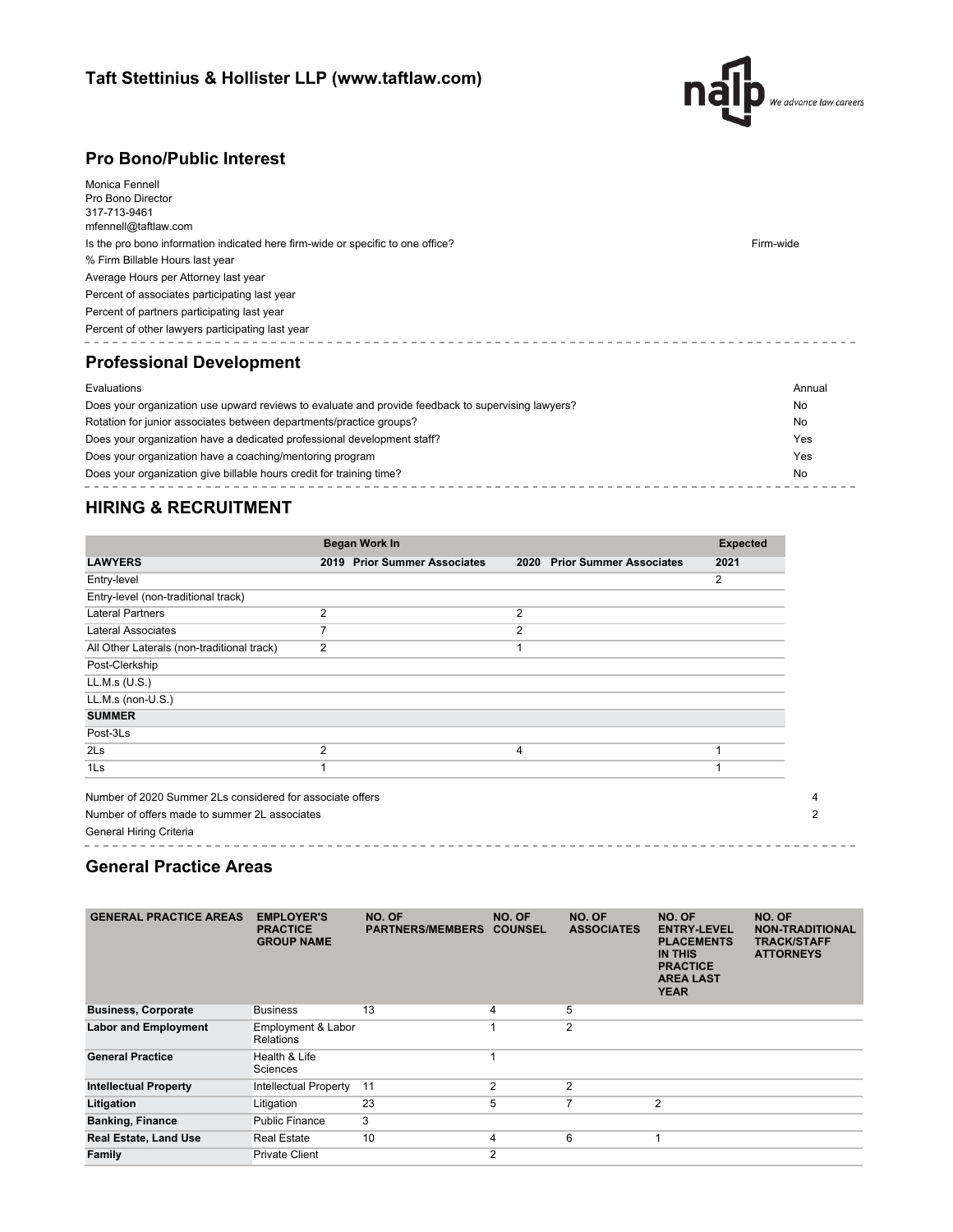

### **Pro Bono/Public Interest**

| Monica Fennell<br>Pro Bono Director<br>317-713-9461<br>mfennell@taftlaw.com<br>Is the pro bono information indicated here firm-wide or specific to one office?<br>% Firm Billable Hours last year<br>Average Hours per Attorney last year<br>Percent of associates participating last year<br>Percent of partners participating last year<br>Percent of other lawyers participating last year<br><b>Professional Development</b> | Firm-wide |
|----------------------------------------------------------------------------------------------------------------------------------------------------------------------------------------------------------------------------------------------------------------------------------------------------------------------------------------------------------------------------------------------------------------------------------|-----------|
| Evaluations                                                                                                                                                                                                                                                                                                                                                                                                                      | Annual    |
| Does your organization use upward reviews to evaluate and provide feedback to supervising lawyers?                                                                                                                                                                                                                                                                                                                               | No        |
| Rotation for junior associates between departments/practice groups?                                                                                                                                                                                                                                                                                                                                                              | No        |

| Rotation for junior associates between departments/practice groups?     | <b>INO</b> |
|-------------------------------------------------------------------------|------------|
| Does your organization have a dedicated professional development staff? | Yes        |
| Does your organization have a coaching/mentoring program                | Yes        |
| Does your organization give billable hours credit for training time?    | No         |

## **HIRING & RECRUITMENT**

|                                            | <b>Began Work In</b>         |                                        | <b>Expected</b> |
|--------------------------------------------|------------------------------|----------------------------------------|-----------------|
| <b>LAWYERS</b>                             | 2019 Prior Summer Associates | <b>Prior Summer Associates</b><br>2020 | 2021            |
| Entry-level                                |                              |                                        | 2               |
| Entry-level (non-traditional track)        |                              |                                        |                 |
| <b>Lateral Partners</b>                    | 2                            | $\overline{2}$                         |                 |
| <b>Lateral Associates</b>                  | 7                            | $\overline{2}$                         |                 |
| All Other Laterals (non-traditional track) | 2                            |                                        |                 |
| Post-Clerkship                             |                              |                                        |                 |
| LL.M.s (U.S.)                              |                              |                                        |                 |
| LL.M.s (non-U.S.)                          |                              |                                        |                 |
| <b>SUMMER</b>                              |                              |                                        |                 |
| Post-3Ls                                   |                              |                                        |                 |
| 2 <sub>ls</sub>                            | $\overline{2}$               | 4                                      | 1               |
| 1 <sub>ls</sub>                            |                              |                                        |                 |

. . . . . . . . . . . . . .

General Hiring Criteria

## **General Practice Areas**

| <b>GENERAL PRACTICE AREAS</b> | <b>EMPLOYER'S</b><br><b>PRACTICE</b><br><b>GROUP NAME</b> | NO. OF<br><b>PARTNERS/MEMBERS</b> | NO. OF<br><b>COUNSEL</b> | NO. OF<br><b>ASSOCIATES</b> | NO. OF<br><b>ENTRY-LEVEL</b><br><b>PLACEMENTS</b><br><b>IN THIS</b><br><b>PRACTICE</b><br><b>AREA LAST</b><br><b>YEAR</b> | NO. OF<br><b>NON-TRADITIONAL</b><br><b>TRACK/STAFF</b><br><b>ATTORNEYS</b> |
|-------------------------------|-----------------------------------------------------------|-----------------------------------|--------------------------|-----------------------------|---------------------------------------------------------------------------------------------------------------------------|----------------------------------------------------------------------------|
| <b>Business, Corporate</b>    | Business                                                  | 13                                | 4                        | 5                           |                                                                                                                           |                                                                            |
| <b>Labor and Employment</b>   | Employment & Labor<br><b>Relations</b>                    |                                   |                          | $\overline{2}$              |                                                                                                                           |                                                                            |
| <b>General Practice</b>       | Health & Life<br>Sciences                                 |                                   |                          |                             |                                                                                                                           |                                                                            |
| <b>Intellectual Property</b>  | Intellectual Property                                     | 11                                | $\overline{2}$           | $\overline{2}$              |                                                                                                                           |                                                                            |
| Litigation                    | Litigation                                                | 23                                | 5                        | 7                           | $\overline{2}$                                                                                                            |                                                                            |
| <b>Banking, Finance</b>       | <b>Public Finance</b>                                     | 3                                 |                          |                             |                                                                                                                           |                                                                            |
| <b>Real Estate, Land Use</b>  | <b>Real Estate</b>                                        | 10                                | 4                        | 6                           |                                                                                                                           |                                                                            |
| Family                        | <b>Private Client</b>                                     |                                   | $\overline{2}$           |                             |                                                                                                                           |                                                                            |